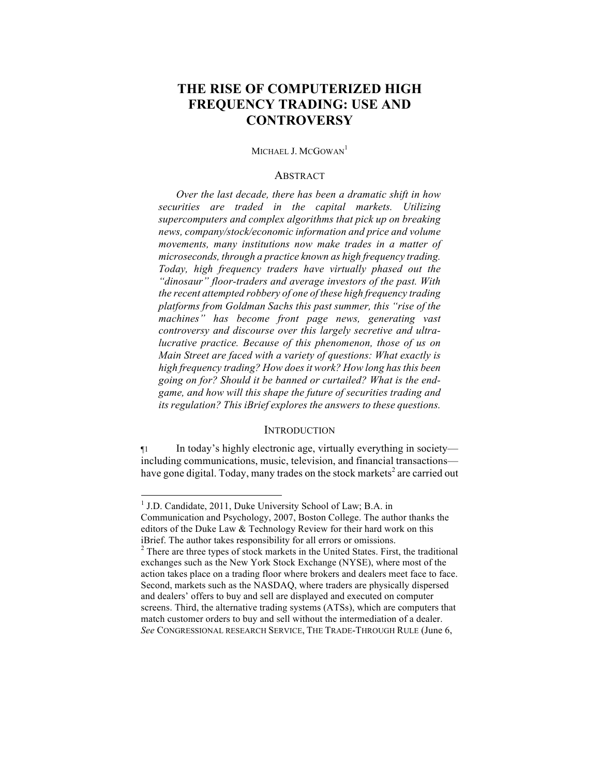# **THE RISE OF COMPUTERIZED HIGH FREQUENCY TRADING: USE AND CONTROVERSY**

# MICHAEL J. MCGOWAN<sup>1</sup>

#### ABSTRACT

*Over the last decade, there has been a dramatic shift in how securities are traded in the capital markets. Utilizing supercomputers and complex algorithms that pick up on breaking news, company/stock/economic information and price and volume movements, many institutions now make trades in a matter of microseconds, through a practice known as high frequency trading. Today, high frequency traders have virtually phased out the "dinosaur" floor-traders and average investors of the past. With the recent attempted robbery of one of these high frequency trading platforms from Goldman Sachs this past summer, this "rise of the machines" has become front page news, generating vast controversy and discourse over this largely secretive and ultralucrative practice. Because of this phenomenon, those of us on Main Street are faced with a variety of questions: What exactly is high frequency trading? How does it work? How long has this been going on for? Should it be banned or curtailed? What is the endgame, and how will this shape the future of securities trading and its regulation? This iBrief explores the answers to these questions.* 

#### **INTRODUCTION**

¶1 In today's highly electronic age, virtually everything in society including communications, music, television, and financial transactions have gone digital. Today, many trades on the stock markets<sup>2</sup> are carried out

<sup>&</sup>lt;sup>1</sup> J.D. Candidate, 2011, Duke University School of Law; B.A. in Communication and Psychology, 2007, Boston College. The author thanks the editors of the Duke Law & Technology Review for their hard work on this iBrief. The author takes responsibility for all errors or omissions.

 $2^2$  There are three types of stock markets in the United States. First, the traditional exchanges such as the New York Stock Exchange (NYSE), where most of the action takes place on a trading floor where brokers and dealers meet face to face. Second, markets such as the NASDAQ, where traders are physically dispersed and dealers' offers to buy and sell are displayed and executed on computer screens. Third, the alternative trading systems (ATSs), which are computers that match customer orders to buy and sell without the intermediation of a dealer. *See* CONGRESSIONAL RESEARCH SERVICE, THE TRADE-THROUGH RULE (June 6,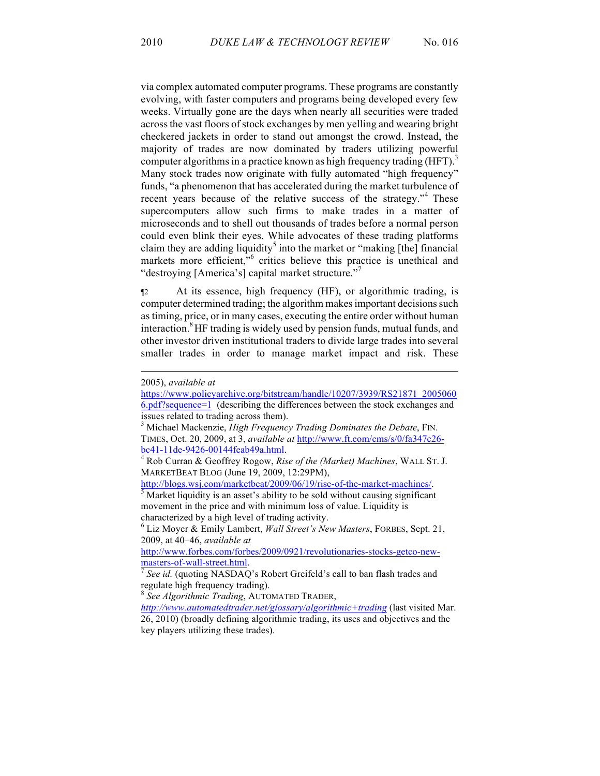via complex automated computer programs. These programs are constantly evolving, with faster computers and programs being developed every few weeks. Virtually gone are the days when nearly all securities were traded across the vast floors of stock exchanges by men yelling and wearing bright checkered jackets in order to stand out amongst the crowd. Instead, the majority of trades are now dominated by traders utilizing powerful computer algorithms in a practice known as high frequency trading (HFT).<sup>3</sup> Many stock trades now originate with fully automated "high frequency" funds, "a phenomenon that has accelerated during the market turbulence of recent years because of the relative success of the strategy."<sup>4</sup> These supercomputers allow such firms to make trades in a matter of microseconds and to shell out thousands of trades before a normal person could even blink their eyes. While advocates of these trading platforms claim they are adding liquidity<sup>5</sup> into the market or "making [the] financial markets more efficient,<sup>56</sup> critics believe this practice is unethical and "destroying [America's] capital market structure."<sup>7</sup>

¶2 At its essence, high frequency (HF), or algorithmic trading, is computer determined trading; the algorithm makes important decisions such as timing, price, or in many cases, executing the entire order without human interaction.<sup>8</sup> HF trading is widely used by pension funds, mutual funds, and other investor driven institutional traders to divide large trades into several smaller trades in order to manage market impact and risk. These

<u>.</u>

MARKETBEAT BLOG (June 19, 2009, 12:29PM),

http://blogs.wsj.com/marketbeat/2009/06/19/rise-of-the-market-machines/.<br><sup>5</sup> Market liquidity is an asset's ability to be sold without causing significant

movement in the price and with minimum loss of value. Liquidity is characterized by a high level of trading activity.

<sup>6</sup> Liz Moyer & Emily Lambert, *Wall Street's New Masters*, FORBES, Sept. 21, 2009, at 40–46, *available at*

http://www.forbes.com/forbes/2009/0921/revolutionaries-stocks-getco-newmasters-of-wall-street.html.<br><sup>7</sup> *See id.* (quoting NASDAQ's Robert Greifeld's call to ban flash trades and

regulate high frequency trading).

<sup>8</sup> *See Algorithmic Trading*, AUTOMATED TRADER,

*http://www.automatedtrader.net/glossary/algorithmic+trading* (last visited Mar. 26, 2010) (broadly defining algorithmic trading, its uses and objectives and the key players utilizing these trades).

<sup>2005),</sup> *available at* 

https://www.policyarchive.org/bitstream/handle/10207/3939/RS21871\_2005060 6.pdf?sequence=1 (describing the differences between the stock exchanges and issues related to trading across them).

<sup>3</sup> Michael Mackenzie, *High Frequency Trading Dominates the Debate*, FIN. TIMES, Oct. 20, 2009, at 3, *available at* http://www.ft.com/cms/s/0/fa347c26 bc41-11de-9426-00144feab49a.html. 4 Rob Curran & Geoffrey Rogow, *Rise of the (Market) Machines*, WALL ST. J.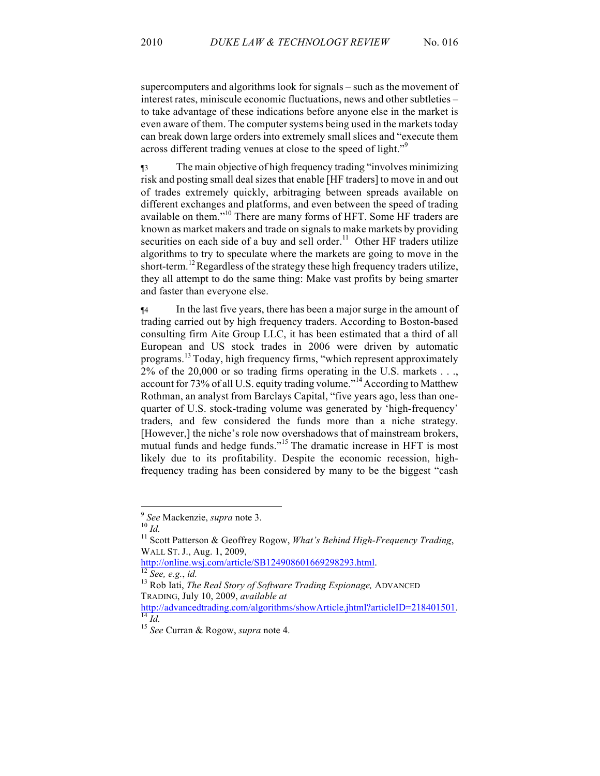supercomputers and algorithms look for signals – such as the movement of interest rates, miniscule economic fluctuations, news and other subtleties – to take advantage of these indications before anyone else in the market is even aware of them. The computer systems being used in the markets today can break down large orders into extremely small slices and "execute them across different trading venues at close to the speed of light."<sup>9</sup>

¶3 The main objective of high frequency trading "involves minimizing risk and posting small deal sizes that enable [HF traders] to move in and out of trades extremely quickly, arbitraging between spreads available on different exchanges and platforms, and even between the speed of trading available on them."<sup>10</sup> There are many forms of HFT. Some HF traders are known as market makers and trade on signals to make markets by providing securities on each side of a buy and sell order.<sup>11</sup> Other HF traders utilize algorithms to try to speculate where the markets are going to move in the short-term.<sup>12</sup> Regardless of the strategy these high frequency traders utilize, they all attempt to do the same thing: Make vast profits by being smarter and faster than everyone else.

¶4 In the last five years, there has been a major surge in the amount of trading carried out by high frequency traders. According to Boston-based consulting firm Aite Group LLC, it has been estimated that a third of all European and US stock trades in 2006 were driven by automatic programs.<sup>13</sup> Today, high frequency firms, "which represent approximately 2% of the 20,000 or so trading firms operating in the U.S. markets . . ., account for 73% of all U.S. equity trading volume."<sup>14</sup> According to Matthew Rothman, an analyst from Barclays Capital, "five years ago, less than onequarter of U.S. stock-trading volume was generated by 'high-frequency' traders, and few considered the funds more than a niche strategy. [However,] the niche's role now overshadows that of mainstream brokers, mutual funds and hedge funds."<sup>15</sup> The dramatic increase in HFT is most likely due to its profitability. Despite the economic recession, highfrequency trading has been considered by many to be the biggest "cash

<sup>9</sup> *See* Mackenzie, *supra* note 3. 10 *Id.* <sup>11</sup> Scott Patterson & Geoffrey Rogow, *What's Behind High-Frequency Trading*, WALL ST. J., Aug. 1, 2009,<br>http://online.wsj.com/article/SB124908601669298293.html.

hetagie.org.com/article/See, *e.g.*, *id.*<br><sup>13</sup> Rob Iati, *The Real Story of Software Trading Espionage, ADVANCED* TRADING, July 10, 2009, *available at* 

http://advancedtrading.com/algorithms/showArticle.jhtml?articleID=218401501. <sup>14</sup> *Id.* <sup>15</sup> *See* Curran & Rogow, *supra* note 4.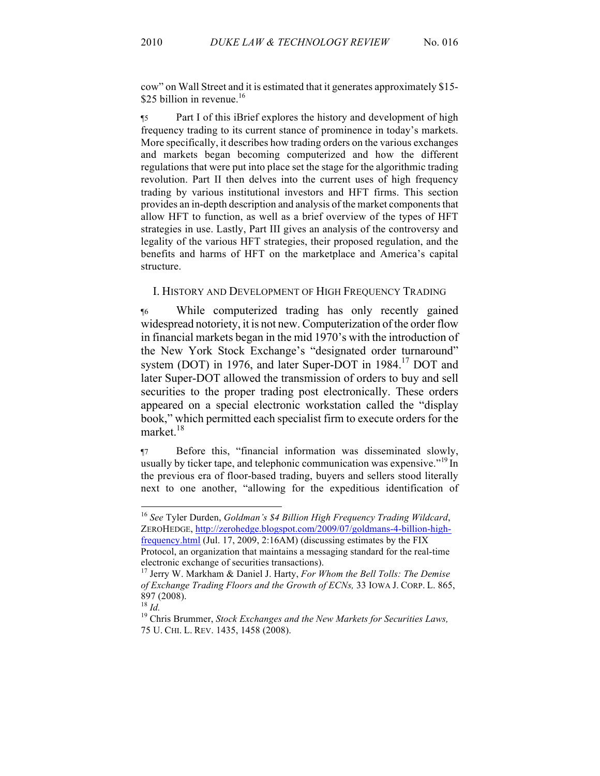cow" on Wall Street and it is estimated that it generates approximately \$15- \$25 billion in revenue. $16$ 

¶5 Part I of this iBrief explores the history and development of high frequency trading to its current stance of prominence in today's markets. More specifically, it describes how trading orders on the various exchanges and markets began becoming computerized and how the different regulations that were put into place set the stage for the algorithmic trading revolution. Part II then delves into the current uses of high frequency trading by various institutional investors and HFT firms. This section provides an in-depth description and analysis of the market components that allow HFT to function, as well as a brief overview of the types of HFT strategies in use. Lastly, Part III gives an analysis of the controversy and legality of the various HFT strategies, their proposed regulation, and the benefits and harms of HFT on the marketplace and America's capital structure.

#### I. HISTORY AND DEVELOPMENT OF HIGH FREQUENCY TRADING

¶6 While computerized trading has only recently gained widespread notoriety, it is not new. Computerization of the order flow in financial markets began in the mid 1970's with the introduction of the New York Stock Exchange's "designated order turnaround" system (DOT) in 1976, and later Super-DOT in 1984.<sup>17</sup> DOT and later Super-DOT allowed the transmission of orders to buy and sell securities to the proper trading post electronically. These orders appeared on a special electronic workstation called the "display book," which permitted each specialist firm to execute orders for the market.18

¶7 Before this, "financial information was disseminated slowly, usually by ticker tape, and telephonic communication was expensive."<sup>19</sup> In the previous era of floor-based trading, buyers and sellers stood literally next to one another, "allowing for the expeditious identification of

 <sup>16</sup> *See* Tyler Durden, *Goldman's \$4 Billion High Frequency Trading Wildcard*, ZEROHEDGE, http://zerohedge.blogspot.com/2009/07/goldmans-4-billion-highfrequency.html (Jul. 17, 2009, 2:16AM) (discussing estimates by the FIX Protocol, an organization that maintains a messaging standard for the real-time

electronic exchange of securities transactions).

<sup>17</sup> Jerry W. Markham & Daniel J. Harty, *For Whom the Bell Tolls: The Demise of Exchange Trading Floors and the Growth of ECNs,* 33 IOWA J. CORP. L. 865,  $897 (2008)$ .<br><sup>18</sup> *Id.* 

<sup>&</sup>lt;sup>19</sup> Chris Brummer, *Stock Exchanges and the New Markets for Securities Laws*, 75 U. CHI. L. REV. 1435, 1458 (2008).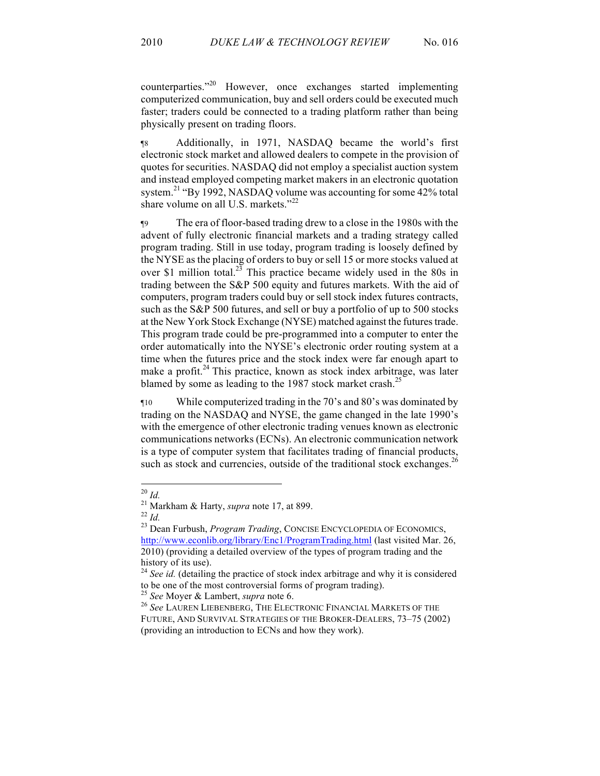counterparties." <sup>20</sup> However, once exchanges started implementing computerized communication, buy and sell orders could be executed much faster; traders could be connected to a trading platform rather than being physically present on trading floors.

¶8 Additionally, in 1971, NASDAQ became the world's first electronic stock market and allowed dealers to compete in the provision of quotes for securities. NASDAQ did not employ a specialist auction system and instead employed competing market makers in an electronic quotation system.<sup>21</sup> "By 1992, NASDAQ volume was accounting for some 42% total share volume on all U.S. markets."<sup>22</sup>

¶9 The era of floor-based trading drew to a close in the 1980s with the advent of fully electronic financial markets and a trading strategy called program trading. Still in use today, program trading is loosely defined by the NYSE as the placing of orders to buy or sell 15 or more stocks valued at over \$1 million total.<sup>23</sup> This practice became widely used in the 80s in trading between the S&P 500 equity and futures markets. With the aid of computers, program traders could buy or sell stock index futures contracts, such as the S&P 500 futures, and sell or buy a portfolio of up to 500 stocks at the New York Stock Exchange (NYSE) matched against the futures trade. This program trade could be pre-programmed into a computer to enter the order automatically into the NYSE's electronic order routing system at a time when the futures price and the stock index were far enough apart to make a profit. $^{24}$  This practice, known as stock index arbitrage, was later blamed by some as leading to the 1987 stock market crash.<sup>25</sup>

¶10 While computerized trading in the 70's and 80's was dominated by trading on the NASDAQ and NYSE, the game changed in the late 1990's with the emergence of other electronic trading venues known as electronic communications networks (ECNs). An electronic communication network is a type of computer system that facilitates trading of financial products, such as stock and currencies, outside of the traditional stock exchanges.<sup>26</sup>

<sup>&</sup>lt;sup>20</sup> *Id.* <sup>21</sup> Markham & Harty, *supra* note 17, at 899.<br><sup>22</sup> *Id.* <sup>23</sup> Dean Furbush, *Program Trading*, CONCISE ENCYCLOPEDIA OF ECONOMICS, http://www.econlib.org/library/Enc1/ProgramTrading.html (last visited Mar. 26, 2010) (providing a detailed overview of the types of program trading and the history of its use).<br><sup>24</sup> *See id.* (detailing the practice of stock index arbitrage and why it is considered

to be one of the most controversial forms of program trading).

<sup>25</sup> *See* Moyer & Lambert, *supra* note 6. 26 *See* LAUREN LIEBENBERG, THE ELECTRONIC FINANCIAL MARKETS OF THE FUTURE, AND SURVIVAL STRATEGIES OF THE BROKER-DEALERS, 73–75 (2002) (providing an introduction to ECNs and how they work).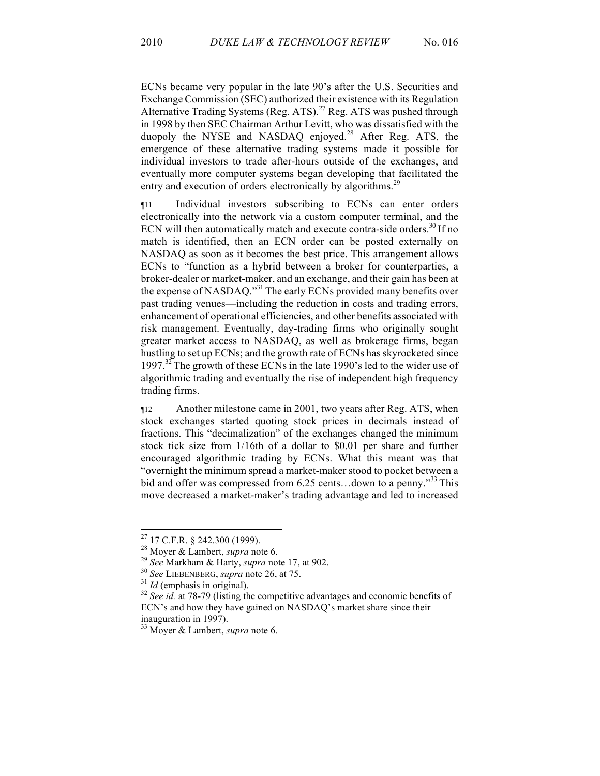ECNs became very popular in the late 90's after the U.S. Securities and Exchange Commission (SEC) authorized their existence with its Regulation Alternative Trading Systems (Reg. ATS).<sup>27</sup> Reg. ATS was pushed through in 1998 by then SEC Chairman Arthur Levitt, who was dissatisfied with the duopoly the NYSE and NASDAQ enjoyed. <sup>28</sup> After Reg. ATS, the emergence of these alternative trading systems made it possible for individual investors to trade after-hours outside of the exchanges, and eventually more computer systems began developing that facilitated the entry and execution of orders electronically by algorithms.<sup>29</sup>

¶11 Individual investors subscribing to ECNs can enter orders electronically into the network via a custom computer terminal, and the ECN will then automatically match and execute contra-side orders.<sup>30</sup> If no match is identified, then an ECN order can be posted externally on NASDAQ as soon as it becomes the best price. This arrangement allows ECNs to "function as a hybrid between a broker for counterparties, a broker-dealer or market-maker, and an exchange, and their gain has been at the expense of NASDAQ."<sup>31</sup> The early ECNs provided many benefits over past trading venues—including the reduction in costs and trading errors, enhancement of operational efficiencies, and other benefits associated with risk management. Eventually, day-trading firms who originally sought greater market access to NASDAQ, as well as brokerage firms, began hustling to set up ECNs; and the growth rate of ECNs has skyrocketed since 1997.<sup>32</sup> The growth of these ECNs in the late 1990's led to the wider use of algorithmic trading and eventually the rise of independent high frequency trading firms.

¶12 Another milestone came in 2001, two years after Reg. ATS, when stock exchanges started quoting stock prices in decimals instead of fractions. This "decimalization" of the exchanges changed the minimum stock tick size from 1/16th of a dollar to \$0.01 per share and further encouraged algorithmic trading by ECNs. What this meant was that "overnight the minimum spread a market-maker stood to pocket between a bid and offer was compressed from 6.25 cents...down to a penny.<sup>333</sup> This move decreased a market-maker's trading advantage and led to increased

<sup>&</sup>lt;sup>27</sup> 17 C.F.R. § 242.300 (1999).<br><sup>28</sup> Moyer & Lambert, *supra* note 6.<br><sup>29</sup> See Markham & Harty, *supra* note 17, at 902.<br><sup>30</sup> See LIEBENBERG, *supra* note 26, at 75.<br><sup>31</sup> Id (emphasis in original).<br><sup>32</sup> See id. at 78-79 ECN's and how they have gained on NASDAQ's market share since their inauguration in 1997).

<sup>33</sup> Moyer & Lambert, *supra* note 6.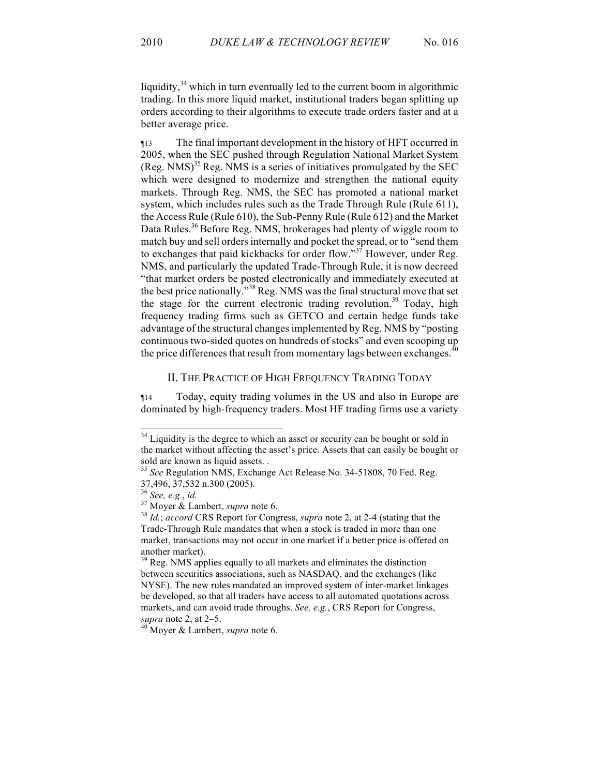liquidity, $34$  which in turn eventually led to the current boom in algorithmic trading. In this more liquid market, institutional traders began splitting up orders according to their algorithms to execute trade orders faster and at a better average price.

¶13 The final important development in the history of HFT occurred in 2005, when the SEC pushed through Regulation National Market System  $(Reg. NMS)<sup>35</sup> Reg. NMS is a series of initiatives promulgated by the SEC.$ which were designed to modernize and strengthen the national equity markets. Through Reg. NMS, the SEC has promoted a national market system, which includes rules such as the Trade Through Rule (Rule 611), the Access Rule (Rule 610), the Sub-Penny Rule (Rule 612) and the Market Data Rules.<sup>36</sup> Before Reg. NMS, brokerages had plenty of wiggle room to match buy and sell orders internally and pocket the spread, or to "send them to exchanges that paid kickbacks for order flow."<sup>37</sup> However, under Reg. NMS, and particularly the updated Trade-Through Rule, it is now decreed "that market orders be posted electronically and immediately executed at the best price nationally.<sup>338</sup> Reg. NMS was the final structural move that set the stage for the current electronic trading revolution.<sup>39</sup> Today, high frequency trading firms such as GETCO and certain hedge funds take advantage of the structural changes implemented by Reg. NMS by "posting continuous two-sided quotes on hundreds of stocks" and even scooping up the price differences that result from momentary lags between exchanges.<sup>40</sup>

## II. THE PRACTICE OF HIGH FREQUENCY TRADING TODAY

¶14 Today, equity trading volumes in the US and also in Europe are dominated by high-frequency traders. Most HF trading firms use a variety

<sup>&</sup>lt;sup>34</sup> Liquidity is the degree to which an asset or security can be bought or sold in the market without affecting the asset's price. Assets that can easily be bought or sold are known as liquid assets. .

<sup>&</sup>lt;sup>35</sup> See Regulation NMS, Exchange Act Release No. 34-51808, 70 Fed. Reg. 37,496, 37,532 n.300 (2005).

<sup>36</sup> *See, e.g.*, *id.* <sup>37</sup> Moyer & Lambert, *supra* note 6. 38 *Id.*; *accord* CRS Report for Congress, *supra* note 2, at 2-4 (stating that the Trade-Through Rule mandates that when a stock is traded in more than one market, transactions may not occur in one market if a better price is offered on another market).

 $39$  Reg. NMS applies equally to all markets and eliminates the distinction between securities associations, such as NASDAQ, and the exchanges (like NYSE). The new rules mandated an improved system of inter-market linkages be developed, so that all traders have access to all automated quotations across markets, and can avoid trade throughs. *See, e.g.*, CRS Report for Congress, *supra* note 2, at 2–5. 40 Moyer & Lambert, *supra* note 6.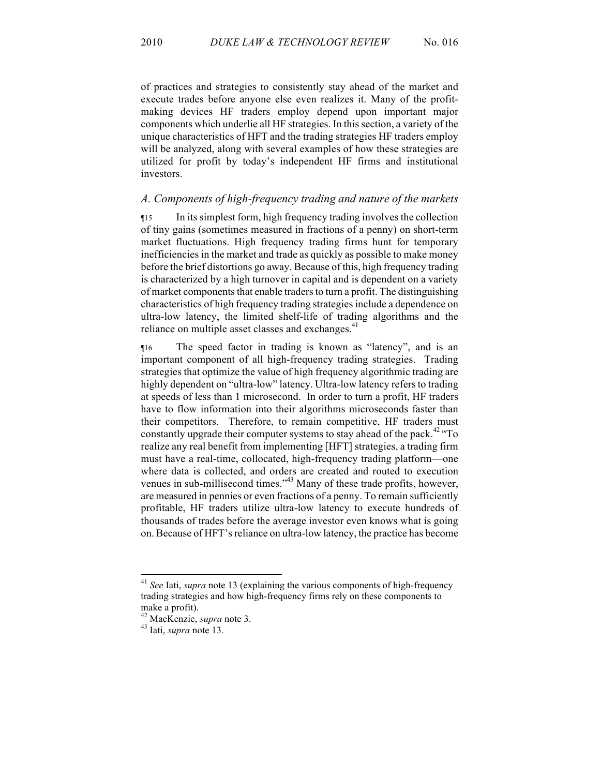of practices and strategies to consistently stay ahead of the market and execute trades before anyone else even realizes it. Many of the profitmaking devices HF traders employ depend upon important major components which underlie all HF strategies. In this section, a variety of the unique characteristics of HFT and the trading strategies HF traders employ will be analyzed, along with several examples of how these strategies are utilized for profit by today's independent HF firms and institutional investors.

## *A. Components of high-frequency trading and nature of the markets*

¶15 In its simplest form, high frequency trading involves the collection of tiny gains (sometimes measured in fractions of a penny) on short-term market fluctuations. High frequency trading firms hunt for temporary inefficiencies in the market and trade as quickly as possible to make money before the brief distortions go away. Because of this, high frequency trading is characterized by a high turnover in capital and is dependent on a variety of market components that enable traders to turn a profit. The distinguishing characteristics of high frequency trading strategies include a dependence on ultra-low latency, the limited shelf-life of trading algorithms and the reliance on multiple asset classes and exchanges.<sup>41</sup>

¶16 The speed factor in trading is known as "latency", and is an important component of all high-frequency trading strategies. Trading strategies that optimize the value of high frequency algorithmic trading are highly dependent on "ultra-low" latency. Ultra-low latency refers to trading at speeds of less than 1 microsecond. In order to turn a profit, HF traders have to flow information into their algorithms microseconds faster than their competitors. Therefore, to remain competitive, HF traders must constantly upgrade their computer systems to stay ahead of the pack.<sup>42</sup> "To realize any real benefit from implementing [HFT] strategies, a trading firm must have a real-time, collocated, high-frequency trading platform—one where data is collected, and orders are created and routed to execution venues in sub-millisecond times."<sup>43</sup> Many of these trade profits, however, are measured in pennies or even fractions of a penny. To remain sufficiently profitable, HF traders utilize ultra-low latency to execute hundreds of thousands of trades before the average investor even knows what is going on. Because of HFT's reliance on ultra-low latency, the practice has become

 <sup>41</sup> *See* Iati, *supra* note 13 (explaining the various components of high-frequency trading strategies and how high-frequency firms rely on these components to make a profit).

<sup>42</sup> MacKenzie, *supra* note 3. 43 Iati, *supra* note 13.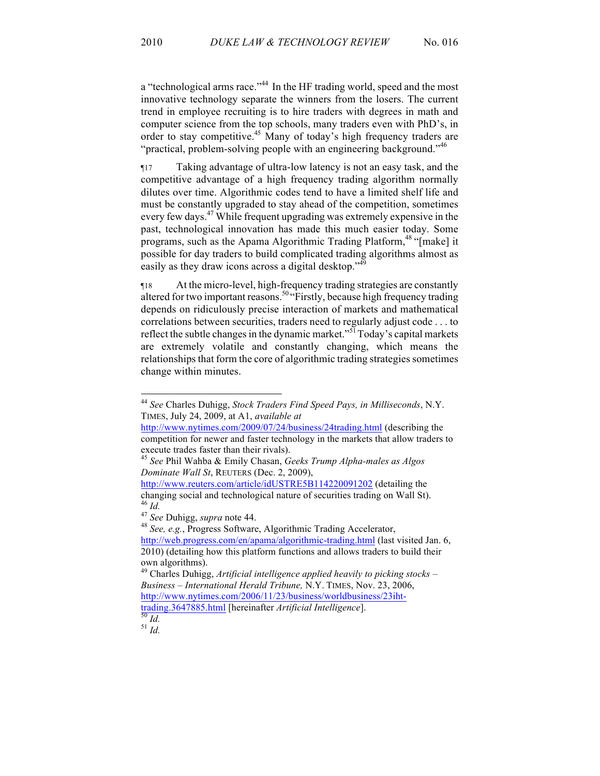a "technological arms race."<sup>44</sup> In the HF trading world, speed and the most innovative technology separate the winners from the losers. The current trend in employee recruiting is to hire traders with degrees in math and computer science from the top schools, many traders even with PhD's, in order to stay competitive.45 Many of today's high frequency traders are "practical, problem-solving people with an engineering background."<sup>46</sup>

¶17 Taking advantage of ultra-low latency is not an easy task, and the competitive advantage of a high frequency trading algorithm normally dilutes over time. Algorithmic codes tend to have a limited shelf life and must be constantly upgraded to stay ahead of the competition, sometimes every few days.<sup>47</sup> While frequent upgrading was extremely expensive in the past, technological innovation has made this much easier today. Some programs, such as the Apama Algorithmic Trading Platform,<sup>48</sup> "[make] it possible for day traders to build complicated trading algorithms almost as easily as they draw icons across a digital desktop."<sup>49</sup>

¶18 At the micro-level, high-frequency trading strategies are constantly altered for two important reasons.<sup>50</sup> "Firstly, because high frequency trading depends on ridiculously precise interaction of markets and mathematical correlations between securities, traders need to regularly adjust code . . . to reflect the subtle changes in the dynamic market."<sup>51</sup> Today's capital markets are extremely volatile and constantly changing, which means the relationships that form the core of algorithmic trading strategies sometimes change within minutes.

<sup>46</sup> *Id.* <sup>47</sup> *See* Duhigg, *supra* note 44. 48 *See, e.g.*, Progress Software, Algorithmic Trading Accelerator, http://web.progress.com/en/apama/algorithmic-trading.html (last visited Jan. 6, 2010) (detailing how this platform functions and allows traders to build their own algorithms).

 <sup>44</sup> *See* Charles Duhigg, *Stock Traders Find Speed Pays, in Milliseconds*, N.Y. TIMES, July 24, 2009, at A1, *available at* 

http://www.nytimes.com/2009/07/24/business/24trading.html (describing the competition for newer and faster technology in the markets that allow traders to

execute trades faster than their rivals). <sup>45</sup> *See* Phil Wahba & Emily Chasan, *Geeks Trump Alpha-males as Algos Dominate Wall St*, REUTERS (Dec. 2, 2009),

http://www.reuters.com/article/idUSTRE5B114220091202 (detailing the changing social and technological nature of securities trading on Wall St).  $^{46}$  *Id* 

<sup>49</sup> Charles Duhigg, *Artificial intelligence applied heavily to picking stocks – Business – International Herald Tribune,* N.Y. TIMES, Nov. 23, 2006, http://www.nytimes.com/2006/11/23/business/worldbusiness/23ihttrading.3647885.html [hereinafter *Artificial Intelligence*]. <sup>50</sup> *Id.* <sup>51</sup> *Id.*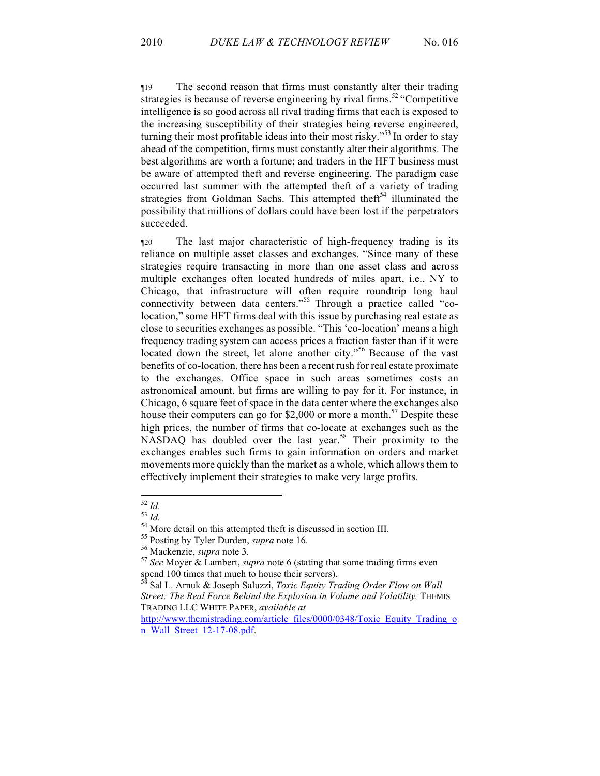¶19 The second reason that firms must constantly alter their trading strategies is because of reverse engineering by rival firms.<sup>52</sup> "Competitive" intelligence is so good across all rival trading firms that each is exposed to the increasing susceptibility of their strategies being reverse engineered, turning their most profitable ideas into their most risky."<sup>53</sup> In order to stay ahead of the competition, firms must constantly alter their algorithms. The best algorithms are worth a fortune; and traders in the HFT business must be aware of attempted theft and reverse engineering. The paradigm case occurred last summer with the attempted theft of a variety of trading strategies from Goldman Sachs. This attempted the filluminated the possibility that millions of dollars could have been lost if the perpetrators succeeded.

¶20 The last major characteristic of high-frequency trading is its reliance on multiple asset classes and exchanges. "Since many of these strategies require transacting in more than one asset class and across multiple exchanges often located hundreds of miles apart, i.e., NY to Chicago, that infrastructure will often require roundtrip long haul connectivity between data centers."<sup>55</sup> Through a practice called "colocation," some HFT firms deal with this issue by purchasing real estate as close to securities exchanges as possible. "This 'co-location' means a high frequency trading system can access prices a fraction faster than if it were located down the street, let alone another city."<sup>56</sup> Because of the vast benefits of co-location, there has been a recent rush for real estate proximate to the exchanges. Office space in such areas sometimes costs an astronomical amount, but firms are willing to pay for it. For instance, in Chicago, 6 square feet of space in the data center where the exchanges also house their computers can go for \$2,000 or more a month.<sup>57</sup> Despite these high prices, the number of firms that co-locate at exchanges such as the NASDAQ has doubled over the last year.<sup>58</sup> Their proximity to the exchanges enables such firms to gain information on orders and market movements more quickly than the market as a whole, which allows them to effectively implement their strategies to make very large profits.

<sup>&</sup>lt;sup>52</sup> *Id.*<br><sup>54</sup> *Id.*<br><sup>54</sup> More detail on this attempted theft is discussed in section III.<br><sup>55</sup> Posting by Tyler Durden, *supra* note 16.<br><sup>56</sup> Mackenzie, *supra* note 3.<br><sup>57</sup> *See* Moyer & Lambert, *supra* note 6 (statin spend 100 times that much to house their servers).

<sup>58</sup> Sal L. Arnuk & Joseph Saluzzi, *Toxic Equity Trading Order Flow on Wall*  Street: The Real Force Behind the Explosion in Volume and Volatility, THEMIS TRADING LLC WHITE PAPER, *available at* 

http://www.themistrading.com/article\_files/0000/0348/Toxic\_Equity\_Trading\_o n\_Wall\_Street\_12-17-08.pdf.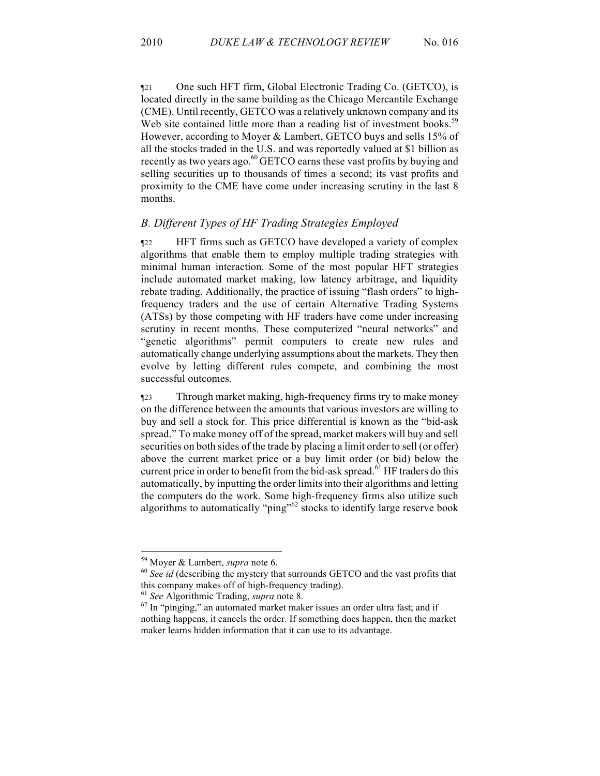¶21 One such HFT firm, Global Electronic Trading Co. (GETCO), is located directly in the same building as the Chicago Mercantile Exchange (CME). Until recently, GETCO was a relatively unknown company and its Web site contained little more than a reading list of investment books.<sup>59</sup> However, according to Moyer & Lambert, GETCO buys and sells 15% of all the stocks traded in the U.S. and was reportedly valued at \$1 billion as recently as two years ago. $^{60}$  GETCO earns these vast profits by buying and selling securities up to thousands of times a second; its vast profits and proximity to the CME have come under increasing scrutiny in the last 8 months.

# *B. Different Types of HF Trading Strategies Employed*

¶22 HFT firms such as GETCO have developed a variety of complex algorithms that enable them to employ multiple trading strategies with minimal human interaction. Some of the most popular HFT strategies include automated market making, low latency arbitrage, and liquidity rebate trading. Additionally, the practice of issuing "flash orders" to highfrequency traders and the use of certain Alternative Trading Systems (ATSs) by those competing with HF traders have come under increasing scrutiny in recent months. These computerized "neural networks" and "genetic algorithms" permit computers to create new rules and automatically change underlying assumptions about the markets. They then evolve by letting different rules compete, and combining the most successful outcomes.

¶23 Through market making, high-frequency firms try to make money on the difference between the amounts that various investors are willing to buy and sell a stock for. This price differential is known as the "bid-ask spread." To make money off of the spread, market makers will buy and sell securities on both sides of the trade by placing a limit order to sell (or offer) above the current market price or a buy limit order (or bid) below the current price in order to benefit from the bid-ask spread.<sup>61</sup> HF traders do this automatically, by inputting the order limits into their algorithms and letting the computers do the work. Some high-frequency firms also utilize such algorithms to automatically "ping"<sup>62</sup> stocks to identify large reserve book

<sup>&</sup>lt;sup>59</sup> Moyer & Lambert, *supra* note 6.  $^{60}$  *See id* (describing the mystery that surrounds GETCO and the vast profits that this company makes off of high-frequency trading).

<sup>&</sup>lt;sup>61</sup> See Algorithmic Trading, *supra* note 8.<br><sup>62</sup> In "pinging," an automated market maker issues an order ultra fast; and if nothing happens, it cancels the order. If something does happen, then the market maker learns hidden information that it can use to its advantage.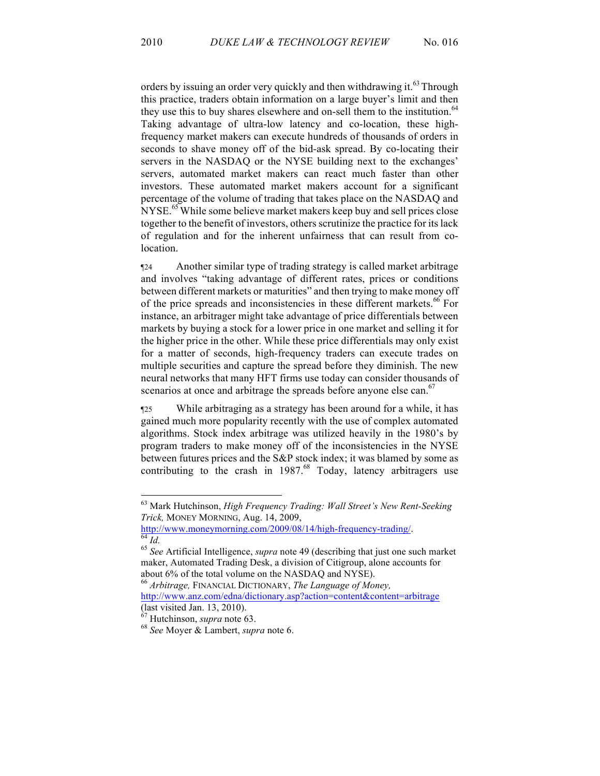orders by issuing an order very quickly and then withdrawing it.<sup>63</sup> Through this practice, traders obtain information on a large buyer's limit and then they use this to buy shares elsewhere and on-sell them to the institution.<sup>64</sup> Taking advantage of ultra-low latency and co-location, these highfrequency market makers can execute hundreds of thousands of orders in seconds to shave money off of the bid-ask spread. By co-locating their servers in the NASDAQ or the NYSE building next to the exchanges' servers, automated market makers can react much faster than other investors. These automated market makers account for a significant percentage of the volume of trading that takes place on the NASDAQ and NYSE.<sup>65</sup> While some believe market makers keep buy and sell prices close together to the benefit of investors, others scrutinize the practice for its lack of regulation and for the inherent unfairness that can result from colocation.

¶24 Another similar type of trading strategy is called market arbitrage and involves "taking advantage of different rates, prices or conditions between different markets or maturities" and then trying to make money off of the price spreads and inconsistencies in these different markets.<sup>66</sup> For instance, an arbitrager might take advantage of price differentials between markets by buying a stock for a lower price in one market and selling it for the higher price in the other. While these price differentials may only exist for a matter of seconds, high-frequency traders can execute trades on multiple securities and capture the spread before they diminish. The new neural networks that many HFT firms use today can consider thousands of scenarios at once and arbitrage the spreads before anyone else can.<sup>67</sup>

¶25 While arbitraging as a strategy has been around for a while, it has gained much more popularity recently with the use of complex automated algorithms. Stock index arbitrage was utilized heavily in the 1980's by program traders to make money off of the inconsistencies in the NYSE between futures prices and the S&P stock index; it was blamed by some as contributing to the crash in 1987.<sup>68</sup> Today, latency arbitragers use

 <sup>63</sup> Mark Hutchinson, *High Frequency Trading: Wall Street's New Rent-Seeking Trick, MONEY MORNING, Aug. 14, 2009,*<br>http://www.moneymorning.com/2009/08/14/high-frequency-trading/.

 $\frac{64}{64}$  *Id.*  $\frac{65}{64}$  *See* Artificial Intelligence, *supra* note 49 (describing that just one such market maker, Automated Trading Desk, a division of Citigroup, alone accounts for about 6% of the total volume on the NASDAQ and NYSE).

<sup>66</sup> *Arbitrage,* FINANCIAL DICTIONARY, *The Language of Money,* 

http://www.anz.com/edna/dictionary.asp?action=content&content=arbitrage (last visited Jan. 13, 2010).

<sup>67</sup> Hutchinson, *supra* note 63. 68 *See* Moyer & Lambert, *supra* note 6.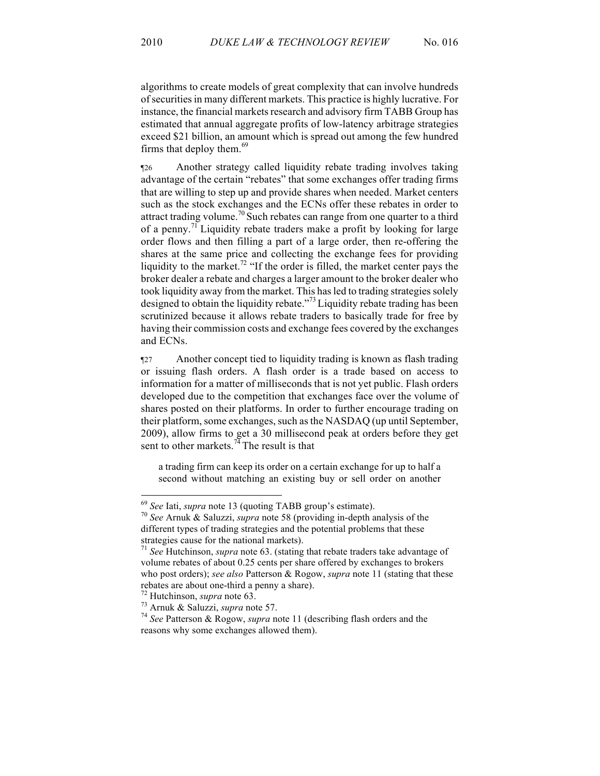algorithms to create models of great complexity that can involve hundreds of securities in many different markets. This practice is highly lucrative. For instance, the financial markets research and advisory firm TABB Group has estimated that annual aggregate profits of low-latency arbitrage strategies exceed \$21 billion, an amount which is spread out among the few hundred firms that deploy them. $69$ 

¶26 Another strategy called liquidity rebate trading involves taking advantage of the certain "rebates" that some exchanges offer trading firms that are willing to step up and provide shares when needed. Market centers such as the stock exchanges and the ECNs offer these rebates in order to attract trading volume.<sup>70</sup> Such rebates can range from one quarter to a third of a penny.<sup>71</sup> Liquidity rebate traders make a profit by looking for large order flows and then filling a part of a large order, then re-offering the shares at the same price and collecting the exchange fees for providing liquidity to the market.<sup>72</sup> "If the order is filled, the market center pays the broker dealer a rebate and charges a larger amount to the broker dealer who took liquidity away from the market. This has led to trading strategies solely designed to obtain the liquidity rebate."<sup>73</sup> Liquidity rebate trading has been scrutinized because it allows rebate traders to basically trade for free by having their commission costs and exchange fees covered by the exchanges and ECNs.

¶27 Another concept tied to liquidity trading is known as flash trading or issuing flash orders. A flash order is a trade based on access to information for a matter of milliseconds that is not yet public. Flash orders developed due to the competition that exchanges face over the volume of shares posted on their platforms. In order to further encourage trading on their platform, some exchanges, such as the NASDAQ (up until September, 2009), allow firms to get a 30 millisecond peak at orders before they get sent to other markets.<sup>74</sup> The result is that

a trading firm can keep its order on a certain exchange for up to half a second without matching an existing buy or sell order on another

<sup>69</sup> *See* Iati, *supra* note 13 (quoting TABB group's estimate). 70 *See* Arnuk & Saluzzi, *supra* note 58 (providing in-depth analysis of the different types of trading strategies and the potential problems that these strategies cause for the national markets).<br><sup>71</sup> *See* Hutchinson, *supra* note 63. (stating that rebate traders take advantage of

volume rebates of about 0.25 cents per share offered by exchanges to brokers who post orders); *see also* Patterson & Rogow, *supra* note 11 (stating that these rebates are about one-third a penny a share). 72 Hutchinson, *supra* note 63. 73 Arnuk & Saluzzi, *supra* note 57. <sup>74</sup> *See* Patterson & Rogow, *supra* note 11 (describing flash orders and the

reasons why some exchanges allowed them).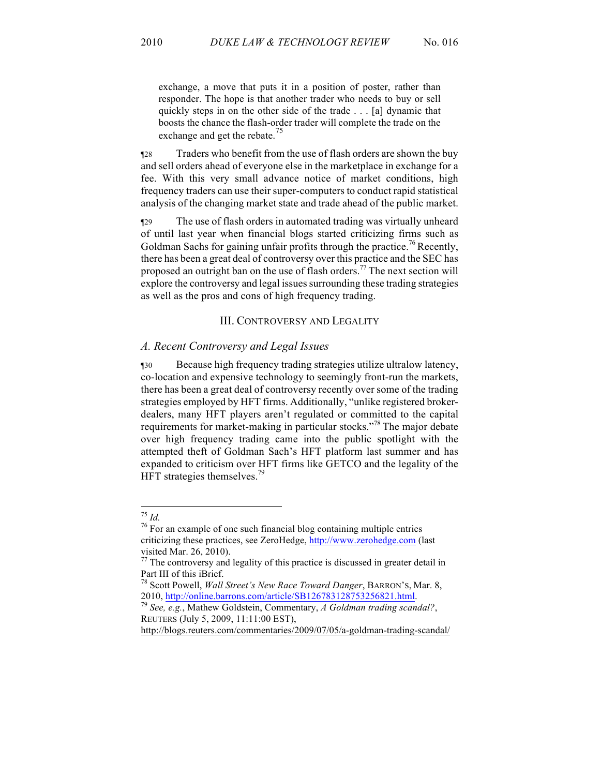exchange, a move that puts it in a position of poster, rather than responder. The hope is that another trader who needs to buy or sell quickly steps in on the other side of the trade . . . [a] dynamic that boosts the chance the flash-order trader will complete the trade on the exchange and get the rebate.<sup>75</sup>

¶28 Traders who benefit from the use of flash orders are shown the buy and sell orders ahead of everyone else in the marketplace in exchange for a fee. With this very small advance notice of market conditions, high frequency traders can use their super-computers to conduct rapid statistical analysis of the changing market state and trade ahead of the public market.

¶29 The use of flash orders in automated trading was virtually unheard of until last year when financial blogs started criticizing firms such as Goldman Sachs for gaining unfair profits through the practice.<sup>76</sup> Recently, there has been a great deal of controversy over this practice and the SEC has proposed an outright ban on the use of flash orders.<sup>77</sup> The next section will explore the controversy and legal issues surrounding these trading strategies as well as the pros and cons of high frequency trading.

#### III. CONTROVERSY AND LEGALITY

#### *A. Recent Controversy and Legal Issues*

¶30 Because high frequency trading strategies utilize ultralow latency, co-location and expensive technology to seemingly front-run the markets, there has been a great deal of controversy recently over some of the trading strategies employed by HFT firms. Additionally, "unlike registered brokerdealers, many HFT players aren't regulated or committed to the capital requirements for market-making in particular stocks."<sup>78</sup> The major debate over high frequency trading came into the public spotlight with the attempted theft of Goldman Sach's HFT platform last summer and has expanded to criticism over HFT firms like GETCO and the legality of the HFT strategies themselves.<sup>79</sup>

http://blogs.reuters.com/commentaries/2009/07/05/a-goldman-trading-scandal/

<sup>75</sup> *Id.* <sup>76</sup> For an example of one such financial blog containing multiple entries criticizing these practices, see ZeroHedge, http://www.zerohedge.com (last visited Mar. 26, 2010).

 $77$  The controversy and legality of this practice is discussed in greater detail in Part III of this iBrief.

<sup>78</sup> Scott Powell, *Wall Street's New Race Toward Danger*, BARRON'S, Mar. 8, 2010, http://online.barrons.com/article/SB126783128753256821.html. 79 *See, e.g.*, Mathew Goldstein, Commentary, *A Goldman trading scandal?*,

REUTERS (July 5, 2009, 11:11:00 EST),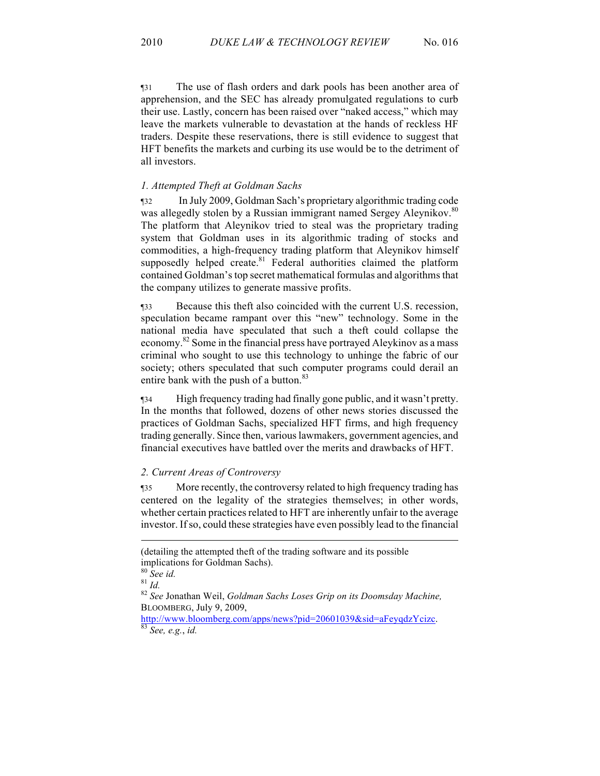¶31 The use of flash orders and dark pools has been another area of apprehension, and the SEC has already promulgated regulations to curb their use. Lastly, concern has been raised over "naked access," which may leave the markets vulnerable to devastation at the hands of reckless HF traders. Despite these reservations, there is still evidence to suggest that HFT benefits the markets and curbing its use would be to the detriment of all investors.

#### *1. Attempted Theft at Goldman Sachs*

¶32 In July 2009, Goldman Sach's proprietary algorithmic trading code was allegedly stolen by a Russian immigrant named Sergey Aleynikov.<sup>80</sup> The platform that Aleynikov tried to steal was the proprietary trading system that Goldman uses in its algorithmic trading of stocks and commodities, a high-frequency trading platform that Aleynikov himself supposedly helped create. $81$  Federal authorities claimed the platform contained Goldman's top secret mathematical formulas and algorithms that the company utilizes to generate massive profits.

¶33 Because this theft also coincided with the current U.S. recession, speculation became rampant over this "new" technology. Some in the national media have speculated that such a theft could collapse the economy.<sup>82</sup> Some in the financial press have portrayed Aleykinov as a mass criminal who sought to use this technology to unhinge the fabric of our society; others speculated that such computer programs could derail an entire bank with the push of a button.<sup>83</sup>

¶34 High frequency trading had finally gone public, and it wasn't pretty. In the months that followed, dozens of other news stories discussed the practices of Goldman Sachs, specialized HFT firms, and high frequency trading generally. Since then, various lawmakers, government agencies, and financial executives have battled over the merits and drawbacks of HFT.

## *2. Current Areas of Controversy*

¶35 More recently, the controversy related to high frequency trading has centered on the legality of the strategies themselves; in other words, whether certain practices related to HFT are inherently unfair to the average investor. If so, could these strategies have even possibly lead to the financial

-

<sup>(</sup>detailing the attempted theft of the trading software and its possible implications for Goldman Sachs).<br><sup>80</sup> See id.<br><sup>81</sup> Id.

<sup>&</sup>lt;sup>82</sup> See Jonathan Weil, *Goldman Sachs Loses Grip on its Doomsday Machine*, BLOOMBERG, July 9, 2009,

http://www.bloomberg.com/apps/news?pid=20601039&sid=aFeyqdzYcizc. 83 *See, e.g.*, *id.*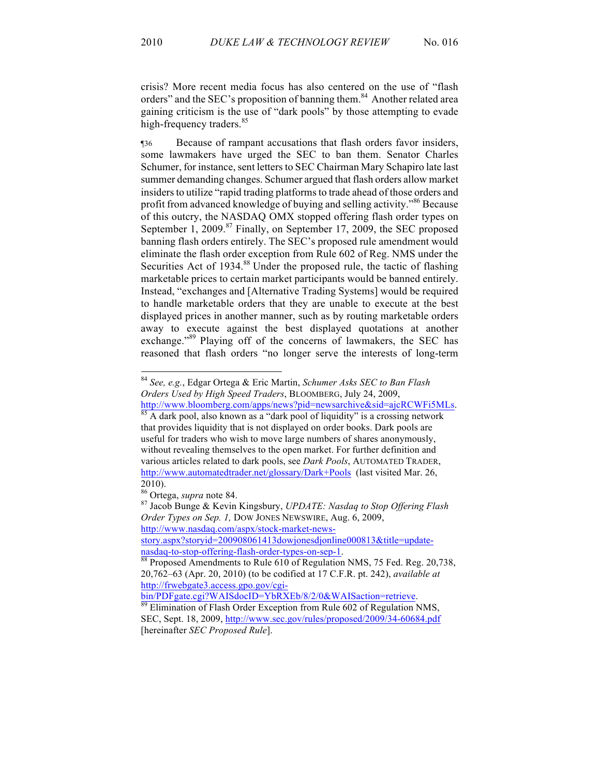crisis? More recent media focus has also centered on the use of "flash orders" and the SEC's proposition of banning them.<sup>84</sup> Another related area gaining criticism is the use of "dark pools" by those attempting to evade high-frequency traders.<sup>85</sup>

¶36 Because of rampant accusations that flash orders favor insiders, some lawmakers have urged the SEC to ban them. Senator Charles Schumer, for instance, sent letters to SEC Chairman Mary Schapiro late last summer demanding changes. Schumer argued that flash orders allow market insiders to utilize "rapid trading platforms to trade ahead of those orders and profit from advanced knowledge of buying and selling activity."<sup>86</sup> Because of this outcry, the NASDAQ OMX stopped offering flash order types on September 1, 2009.<sup>87</sup> Finally, on September 17, 2009, the SEC proposed banning flash orders entirely. The SEC's proposed rule amendment would eliminate the flash order exception from Rule 602 of Reg. NMS under the Securities Act of 1934.<sup>88</sup> Under the proposed rule, the tactic of flashing marketable prices to certain market participants would be banned entirely. Instead, "exchanges and [Alternative Trading Systems] would be required to handle marketable orders that they are unable to execute at the best displayed prices in another manner, such as by routing marketable orders away to execute against the best displayed quotations at another exchange."<sup>89</sup> Playing off of the concerns of lawmakers, the SEC has reasoned that flash orders "no longer serve the interests of long-term

various articles related to dark pools, see *Dark Pools*, AUTOMATED TRADER,

 <sup>84</sup> *See, e.g.*, Edgar Ortega & Eric Martin, *Schumer Asks SEC to Ban Flash Orders Used by High Speed Traders*, BLOOMBERG, July 24, 2009, http://www.bloomberg.com/apps/news?pid=newsarchive&sid=ajcRCWFi5MLs. <sup>85</sup> A dark pool, also known as a "dark pool of liquidity" is a crossing network that provides liquidity that is not displayed on order books. Dark pools are useful for traders who wish to move large numbers of shares anonymously, without revealing themselves to the open market. For further definition and

http://www.automatedtrader.net/glossary/Dark+Pools (last visited Mar. 26,

<sup>2010).&</sup>lt;br><sup>86</sup> Ortega, *supra* note 84.

<sup>87</sup> Jacob Bunge & Kevin Kingsbury, *UPDATE: Nasdaq to Stop Offering Flash Order Types on Sep. 1,* DOW JONES NEWSWIRE, Aug. 6, 2009, http://www.nasdaq.com/aspx/stock-market-news-

story.aspx?storyid=200908061413dowjonesdjonline000813&title=updatenasdaq-to-stop-offering-flash-order-types-on-sep-1.<br><sup>88</sup> Proposed Amendments to Rule 610 of Regulation NMS, 75 Fed. Reg. 20,738,

<sup>20,762–63 (</sup>Apr. 20, 2010) (to be codified at 17 C.F.R. pt. 242), *available at*  http://frwebgate3.access.gpo.gov/cgi-<br>bin/PDFgate.cgi?WAISdocID=YbRXEb/8/2/0&WAISaction=retrieve.

<sup>&</sup>lt;sup>89</sup> Elimination of Flash Order Exception from Rule 602 of Regulation NMS, SEC, Sept. 18, 2009, http://www.sec.gov/rules/proposed/2009/34-60684.pdf [hereinafter *SEC Proposed Rule*].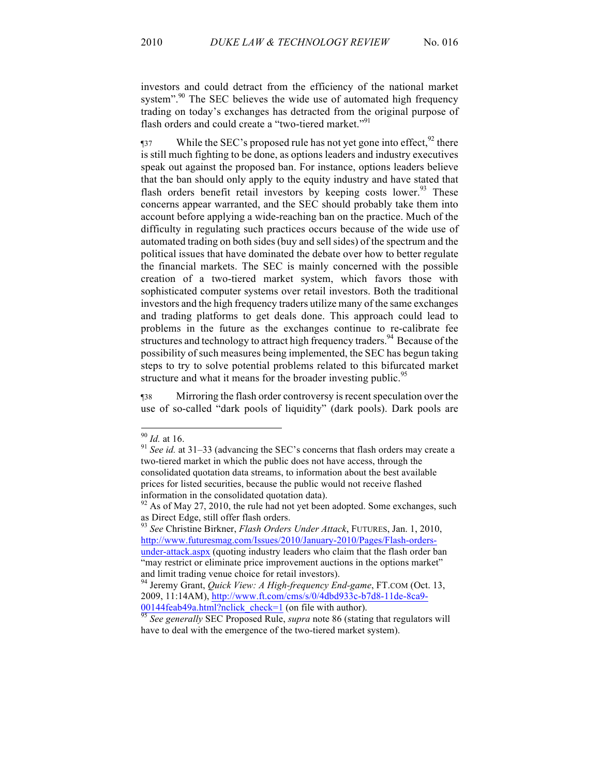investors and could detract from the efficiency of the national market system".<sup>90</sup> The SEC believes the wide use of automated high frequency trading on today's exchanges has detracted from the original purpose of flash orders and could create a "two-tiered market."<sup>91</sup>

 $\frac{1}{37}$  While the SEC's proposed rule has not yet gone into effect,  $\frac{92}{2}$  there is still much fighting to be done, as options leaders and industry executives speak out against the proposed ban. For instance, options leaders believe that the ban should only apply to the equity industry and have stated that flash orders benefit retail investors by keeping costs lower.<sup>93</sup> These concerns appear warranted, and the SEC should probably take them into account before applying a wide-reaching ban on the practice. Much of the difficulty in regulating such practices occurs because of the wide use of automated trading on both sides (buy and sell sides) of the spectrum and the political issues that have dominated the debate over how to better regulate the financial markets. The SEC is mainly concerned with the possible creation of a two-tiered market system, which favors those with sophisticated computer systems over retail investors. Both the traditional investors and the high frequency traders utilize many of the same exchanges and trading platforms to get deals done. This approach could lead to problems in the future as the exchanges continue to re-calibrate fee structures and technology to attract high frequency traders.<sup>94</sup> Because of the possibility of such measures being implemented, the SEC has begun taking steps to try to solve potential problems related to this bifurcated market structure and what it means for the broader investing public.<sup>95</sup>

¶38 Mirroring the flash order controversy is recent speculation over the use of so-called "dark pools of liquidity" (dark pools). Dark pools are

<sup>90</sup> *Id.* at 16. 91 *See id.* at 31–33 (advancing the SEC's concerns that flash orders may create a two-tiered market in which the public does not have access, through the consolidated quotation data streams, to information about the best available prices for listed securities, because the public would not receive flashed information in the consolidated quotation data).

 $92$  As of May 27, 2010, the rule had not yet been adopted. Some exchanges, such as Direct Edge, still offer flash orders.

<sup>93</sup> *See* Christine Birkner, *Flash Orders Under Attack*, FUTURES, Jan. 1, 2010, http://www.futuresmag.com/Issues/2010/January-2010/Pages/Flash-ordersunder-attack.aspx (quoting industry leaders who claim that the flash order ban "may restrict or eliminate price improvement auctions in the options market"

and limit trading venue choice for retail investors).<br><sup>94</sup> Jeremy Grant, *Quick View: A High-frequency End-game*, FT.COM (Oct. 13, 2009, 11:14AM), http://www.ft.com/cms/s/0/4dbd933c-b7d8-11de-8ca9-

<sup>00144</sup>feab49a.html?nclick\_check=1 (on file with author). 95 *See generally* SEC Proposed Rule, *supra* note 86 (stating that regulators will have to deal with the emergence of the two-tiered market system).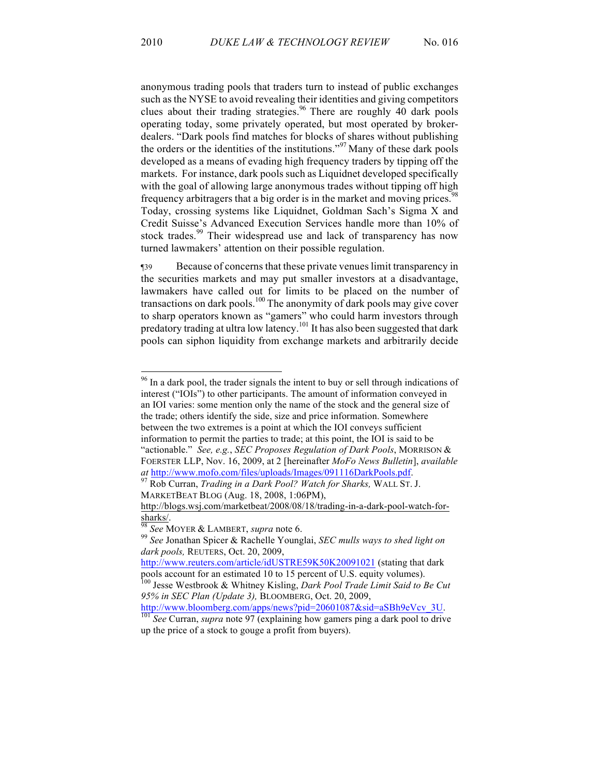anonymous trading pools that traders turn to instead of public exchanges such as the NYSE to avoid revealing their identities and giving competitors clues about their trading strategies.<sup>96</sup> There are roughly  $\frac{6}{10}$  dark pools operating today, some privately operated, but most operated by brokerdealers. "Dark pools find matches for blocks of shares without publishing the orders or the identities of the institutions."<sup>97</sup> Many of these dark pools developed as a means of evading high frequency traders by tipping off the markets. For instance, dark pools such as Liquidnet developed specifically with the goal of allowing large anonymous trades without tipping off high frequency arbitragers that a big order is in the market and moving prices.<sup>9</sup> Today, crossing systems like Liquidnet, Goldman Sach's Sigma X and Credit Suisse's Advanced Execution Services handle more than 10% of stock trades.<sup>99</sup> Their widespread use and lack of transparency has now turned lawmakers' attention on their possible regulation.

¶39 Because of concerns that these private venues limit transparency in the securities markets and may put smaller investors at a disadvantage, lawmakers have called out for limits to be placed on the number of transactions on dark pools.<sup>100</sup> The anonymity of dark pools may give cover to sharp operators known as "gamers" who could harm investors through predatory trading at ultra low latency.<sup>101</sup> It has also been suggested that dark pools can siphon liquidity from exchange markets and arbitrarily decide

<sup>&</sup>lt;sup>96</sup> In a dark pool, the trader signals the intent to buy or sell through indications of interest ("IOIs") to other participants. The amount of information conveyed in an IOI varies: some mention only the name of the stock and the general size of the trade; others identify the side, size and price information. Somewhere between the two extremes is a point at which the IOI conveys sufficient information to permit the parties to trade; at this point, the IOI is said to be "actionable." *See, e.g.*, *SEC Proposes Regulation of Dark Pools*, MORRISON & FOERSTER LLP, Nov. 16, 2009, at 2 [hereinafter *MoFo News Bulletin*], *available at* http://www.mofo.com/files/uploads/Images/091116DarkPools.pdf. <sup>97</sup> Rob Curran, *Trading in a Dark Pool? Watch for Sharks,* WALL ST. J.

MARKETBEAT BLOG (Aug. 18, 2008, 1:06PM),

http://blogs.wsj.com/marketbeat/2008/08/18/trading-in-a-dark-pool-watch-forsharks/. <sup>98</sup> *See* MOYER & LAMBERT, *supra* note 6. 99 *See* Jonathan Spicer & Rachelle Younglai, *SEC mulls ways to shed light on* 

*dark pools,* REUTERS, Oct. 20, 2009,

http://www.reuters.com/article/idUSTRE59K50K20091021 (stating that dark pools account for an estimated 10 to 15 percent of U.S. equity volumes).

<sup>100</sup> Jesse Westbrook & Whitney Kisling, *Dark Pool Trade Limit Said to Be Cut 95% in SEC Plan (Update 3),* BLOOMBERG, Oct. 20, 2009,

http://www.bloomberg.com/apps/news?pid=20601087&sid=aSBh9eVcv\_3U. 101 *See* Curran, *supra* note 97 (explaining how gamers ping a dark pool to drive up the price of a stock to gouge a profit from buyers).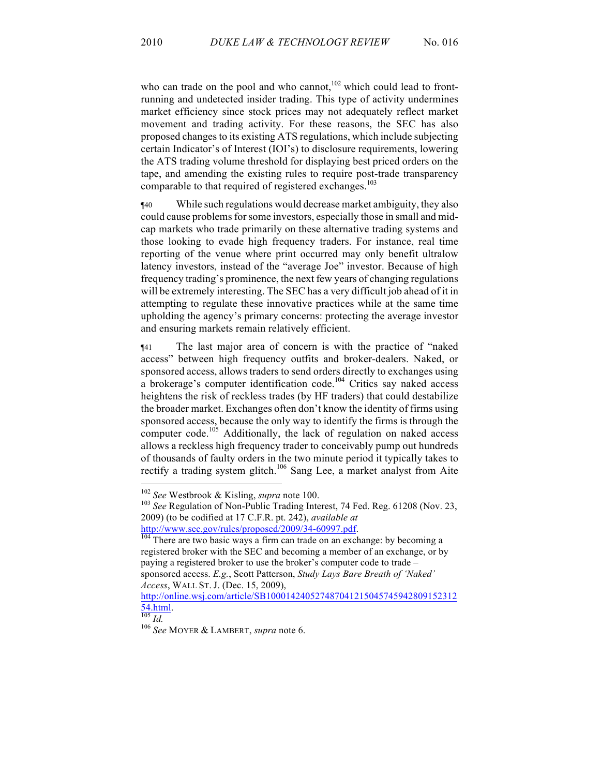who can trade on the pool and who cannot,  $102$  which could lead to frontrunning and undetected insider trading. This type of activity undermines market efficiency since stock prices may not adequately reflect market movement and trading activity. For these reasons, the SEC has also proposed changes to its existing ATS regulations, which include subjecting certain Indicator's of Interest (IOI's) to disclosure requirements, lowering the ATS trading volume threshold for displaying best priced orders on the tape, and amending the existing rules to require post-trade transparency comparable to that required of registered exchanges.<sup>103</sup>

¶40 While such regulations would decrease market ambiguity, they also could cause problems for some investors, especially those in small and midcap markets who trade primarily on these alternative trading systems and those looking to evade high frequency traders. For instance, real time reporting of the venue where print occurred may only benefit ultralow latency investors, instead of the "average Joe" investor. Because of high frequency trading's prominence, the next few years of changing regulations will be extremely interesting. The SEC has a very difficult job ahead of it in attempting to regulate these innovative practices while at the same time upholding the agency's primary concerns: protecting the average investor and ensuring markets remain relatively efficient.

¶41 The last major area of concern is with the practice of "naked access" between high frequency outfits and broker-dealers. Naked, or sponsored access, allows traders to send orders directly to exchanges using a brokerage's computer identification code.<sup>104</sup> Critics say naked access heightens the risk of reckless trades (by HF traders) that could destabilize the broader market. Exchanges often don't know the identity of firms using sponsored access, because the only way to identify the firms is through the computer code.<sup>105</sup> Additionally, the lack of regulation on naked access allows a reckless high frequency trader to conceivably pump out hundreds of thousands of faulty orders in the two minute period it typically takes to rectify a trading system glitch.<sup>106</sup> Sang Lee, a market analyst from Aite

<sup>&</sup>lt;sup>102</sup> *See* Westbrook & Kisling, *supra* note 100.<br><sup>103</sup> *See* Regulation of Non-Public Trading Interest, 74 Fed. Reg. 61208 (Nov. 23, 2009) (to be codified at 17 C.F.R. pt. 242), *available at* 

http://www.sec.gov/rules/proposed/2009/34-60997.pdf.<br><sup>104</sup> There are two basic ways a firm can trade on an exchange: by becoming a registered broker with the SEC and becoming a member of an exchange, or by paying a registered broker to use the broker's computer code to trade – sponsored access. *E.g.*, Scott Patterson, *Study Lays Bare Breath of 'Naked' Access*, WALL ST. J. (Dec. 15, 2009),

http://online.wsj.com/article/SB100014240527487041215045745942809152312 54.html. 105 *Id.* <sup>106</sup> *See* MOYER & LAMBERT, *supra* note 6.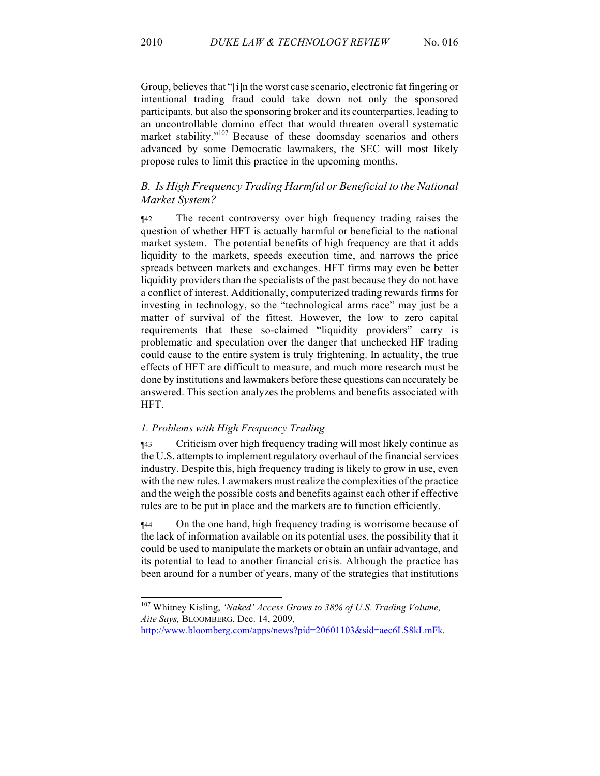Group, believes that "[i]n the worst case scenario, electronic fat fingering or intentional trading fraud could take down not only the sponsored participants, but also the sponsoring broker and its counterparties, leading to an uncontrollable domino effect that would threaten overall systematic market stability."<sup>107</sup> Because of these doomsday scenarios and others advanced by some Democratic lawmakers, the SEC will most likely propose rules to limit this practice in the upcoming months.

# *B. Is High Frequency Trading Harmful or Beneficial to the National Market System?*

¶42 The recent controversy over high frequency trading raises the question of whether HFT is actually harmful or beneficial to the national market system. The potential benefits of high frequency are that it adds liquidity to the markets, speeds execution time, and narrows the price spreads between markets and exchanges. HFT firms may even be better liquidity providers than the specialists of the past because they do not have a conflict of interest. Additionally, computerized trading rewards firms for investing in technology, so the "technological arms race" may just be a matter of survival of the fittest. However, the low to zero capital requirements that these so-claimed "liquidity providers" carry is problematic and speculation over the danger that unchecked HF trading could cause to the entire system is truly frightening. In actuality, the true effects of HFT are difficult to measure, and much more research must be done by institutions and lawmakers before these questions can accurately be answered. This section analyzes the problems and benefits associated with HFT.

## *1. Problems with High Frequency Trading*

¶43 Criticism over high frequency trading will most likely continue as the U.S. attempts to implement regulatory overhaul of the financial services industry. Despite this, high frequency trading is likely to grow in use, even with the new rules. Lawmakers must realize the complexities of the practice and the weigh the possible costs and benefits against each other if effective rules are to be put in place and the markets are to function efficiently.

¶44 On the one hand, high frequency trading is worrisome because of the lack of information available on its potential uses, the possibility that it could be used to manipulate the markets or obtain an unfair advantage, and its potential to lead to another financial crisis. Although the practice has been around for a number of years, many of the strategies that institutions

 107 Whitney Kisling, *'Naked' Access Grows to 38% of U.S. Trading Volume, Aite Says,* BLOOMBERG, Dec. 14, 2009,

http://www.bloomberg.com/apps/news?pid=20601103&sid=aec6LS8kLmFk.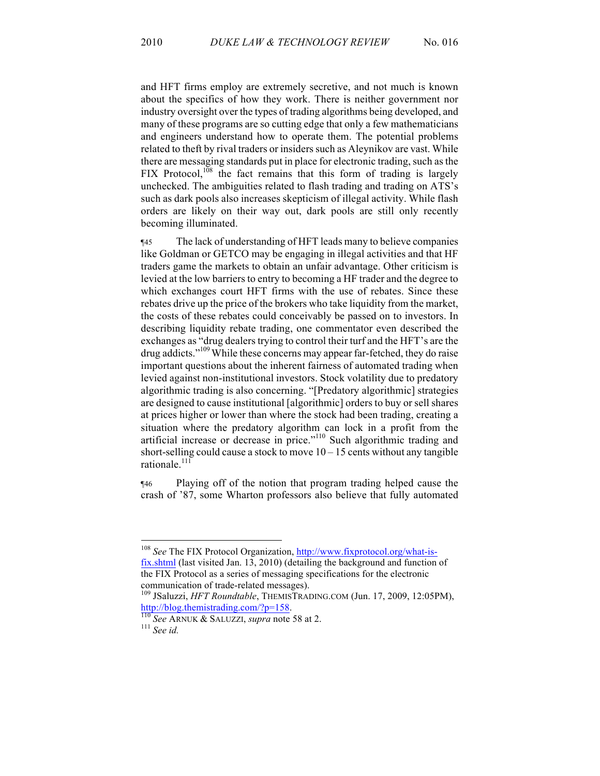and HFT firms employ are extremely secretive, and not much is known about the specifics of how they work. There is neither government nor industry oversight over the types of trading algorithms being developed, and many of these programs are so cutting edge that only a few mathematicians and engineers understand how to operate them. The potential problems related to theft by rival traders or insiders such as Aleynikov are vast. While there are messaging standards put in place for electronic trading, such as the FIX Protocol,  $^{108}$  the fact remains that this form of trading is largely unchecked. The ambiguities related to flash trading and trading on ATS's such as dark pools also increases skepticism of illegal activity. While flash orders are likely on their way out, dark pools are still only recently becoming illuminated.

¶45 The lack of understanding of HFT leads many to believe companies like Goldman or GETCO may be engaging in illegal activities and that HF traders game the markets to obtain an unfair advantage. Other criticism is levied at the low barriers to entry to becoming a HF trader and the degree to which exchanges court HFT firms with the use of rebates. Since these rebates drive up the price of the brokers who take liquidity from the market, the costs of these rebates could conceivably be passed on to investors. In describing liquidity rebate trading, one commentator even described the exchanges as "drug dealers trying to control their turf and the HFT's are the drug addicts."<sup>109</sup> While these concerns may appear far-fetched, they do raise important questions about the inherent fairness of automated trading when levied against non-institutional investors. Stock volatility due to predatory algorithmic trading is also concerning. "[Predatory algorithmic] strategies are designed to cause institutional [algorithmic] orders to buy or sell shares at prices higher or lower than where the stock had been trading, creating a situation where the predatory algorithm can lock in a profit from the artificial increase or decrease in price."<sup>110</sup> Such algorithmic trading and short-selling could cause a stock to move  $10 - 15$  cents without any tangible rationale.<sup>111</sup>

¶46 Playing off of the notion that program trading helped cause the crash of '87, some Wharton professors also believe that fully automated

 108 *See* The FIX Protocol Organization, http://www.fixprotocol.org/what-isfix.shtml (last visited Jan. 13, 2010) (detailing the background and function of the FIX Protocol as a series of messaging specifications for the electronic

communication of trade-related messages).<br><sup>109</sup> JSaluzzi, *HFT Roundtable*, THEMISTRADING.COM (Jun. 17, 2009, 12:05PM),

http://blog.themistrading.com/?p=158. 110 *See* ARNUK & SALUZZI, *supra* note 58 at 2. <sup>111</sup> *See id.*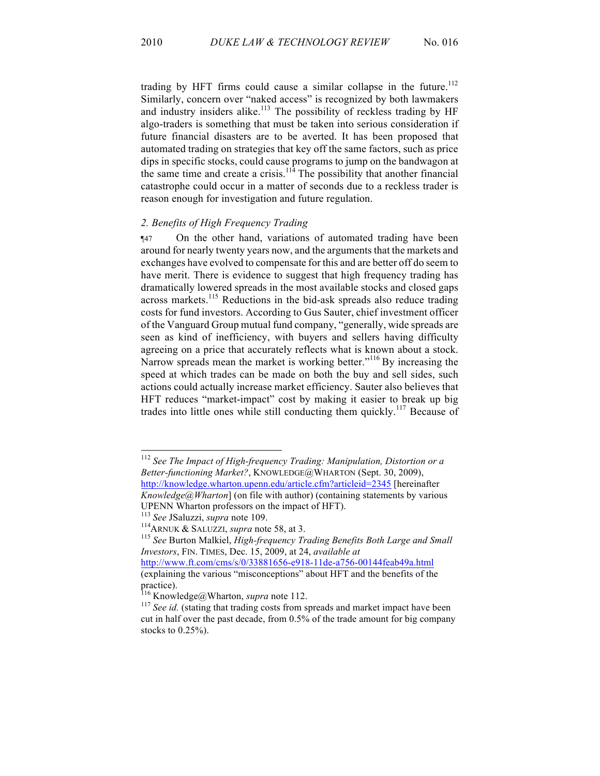trading by HFT firms could cause a similar collapse in the future.<sup>112</sup> Similarly, concern over "naked access" is recognized by both lawmakers and industry insiders alike.<sup>113</sup> The possibility of reckless trading by HF algo-traders is something that must be taken into serious consideration if future financial disasters are to be averted. It has been proposed that automated trading on strategies that key off the same factors, such as price dips in specific stocks, could cause programs to jump on the bandwagon at the same time and create a crisis.<sup>114</sup> The possibility that another financial catastrophe could occur in a matter of seconds due to a reckless trader is reason enough for investigation and future regulation.

## *2. Benefits of High Frequency Trading*

¶47 On the other hand, variations of automated trading have been around for nearly twenty years now, and the arguments that the markets and exchanges have evolved to compensate for this and are better off do seem to have merit. There is evidence to suggest that high frequency trading has dramatically lowered spreads in the most available stocks and closed gaps across markets. <sup>115</sup> Reductions in the bid-ask spreads also reduce trading costs for fund investors. According to Gus Sauter, chief investment officer of the Vanguard Group mutual fund company, "generally, wide spreads are seen as kind of inefficiency, with buyers and sellers having difficulty agreeing on a price that accurately reflects what is known about a stock. Narrow spreads mean the market is working better."<sup>116</sup> By increasing the speed at which trades can be made on both the buy and sell sides, such actions could actually increase market efficiency. Sauter also believes that HFT reduces "market-impact" cost by making it easier to break up big trades into little ones while still conducting them quickly.<sup>117</sup> Because of

 <sup>112</sup> *See The Impact of High-frequency Trading: Manipulation, Distortion or a Better-functioning Market?*, KNOWLEDGE@WHARTON (Sept. 30, 2009), http://knowledge.wharton.upenn.edu/article.cfm?articleid=2345 [hereinafter

*Knowledge@Wharton*] (on file with author) (containing statements by various UPENN Wharton professors on the impact of HFT).<br>
<sup>113</sup> See JSaluzzi, *supra* note 109.<br>
<sup>114</sup>ARNUK & SALUZZI, *supra* note 58, at 3.<br>
<sup>115</sup> See Burton Malkiel, *High-frequency Trading Benefits Both Large and Small* 

*Investors*, FIN. TIMES, Dec. 15, 2009, at 24, *available at*  http://www.ft.com/cms/s/0/33881656-e918-11de-a756-00144feab49a.html (explaining the various "misconceptions" about HFT and the benefits of the

practice).<br><sup>116</sup> Knowledge@Wharton, *supra* note 112.

<sup>&</sup>lt;sup>117</sup> See id. (stating that trading costs from spreads and market impact have been cut in half over the past decade, from 0.5% of the trade amount for big company stocks to 0.25%).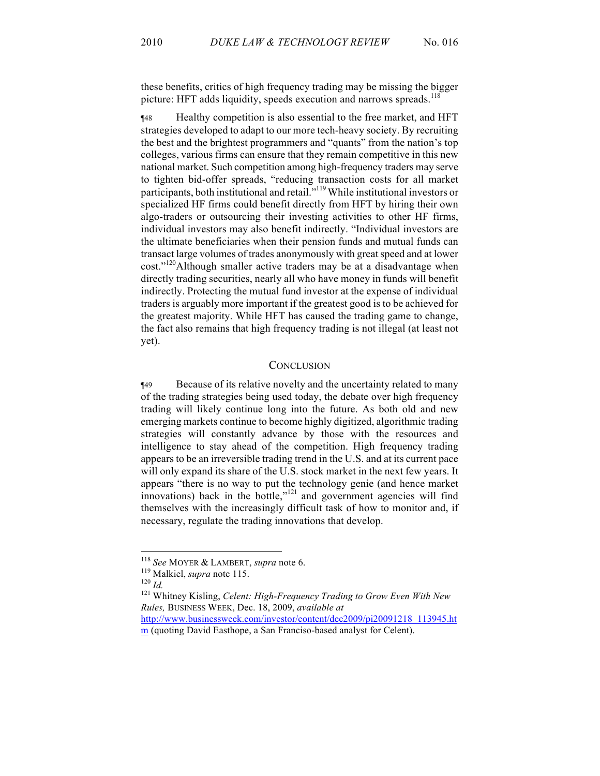these benefits, critics of high frequency trading may be missing the bigger picture: HFT adds liquidity, speeds execution and narrows spreads.<sup>118</sup>

¶48 Healthy competition is also essential to the free market, and HFT strategies developed to adapt to our more tech-heavy society. By recruiting the best and the brightest programmers and "quants" from the nation's top colleges, various firms can ensure that they remain competitive in this new national market. Such competition among high-frequency traders may serve to tighten bid-offer spreads, "reducing transaction costs for all market participants, both institutional and retail."<sup>119</sup> While institutional investors or specialized HF firms could benefit directly from HFT by hiring their own algo-traders or outsourcing their investing activities to other HF firms, individual investors may also benefit indirectly. "Individual investors are the ultimate beneficiaries when their pension funds and mutual funds can transact large volumes of trades anonymously with great speed and at lower cost."<sup>120</sup>Although smaller active traders may be at a disadvantage when directly trading securities, nearly all who have money in funds will benefit indirectly. Protecting the mutual fund investor at the expense of individual traders is arguably more important if the greatest good is to be achieved for the greatest majority. While HFT has caused the trading game to change, the fact also remains that high frequency trading is not illegal (at least not yet).

## **CONCLUSION**

¶49 Because of its relative novelty and the uncertainty related to many of the trading strategies being used today, the debate over high frequency trading will likely continue long into the future. As both old and new emerging markets continue to become highly digitized, algorithmic trading strategies will constantly advance by those with the resources and intelligence to stay ahead of the competition. High frequency trading appears to be an irreversible trading trend in the U.S. and at its current pace will only expand its share of the U.S. stock market in the next few years. It appears "there is no way to put the technology genie (and hence market innovations) back in the bottle," $121$  and government agencies will find themselves with the increasingly difficult task of how to monitor and, if necessary, regulate the trading innovations that develop.

<sup>118</sup> *See* MOYER & LAMBERT, *supra* note 6. <sup>119</sup> Malkiel, *supra* note 115. 120 *Id.* <sup>121</sup> Whitney Kisling, *Celent: High-Frequency Trading to Grow Even With New Rules,* BUSINESS WEEK, Dec. 18, 2009, *available at*  http://www.businessweek.com/investor/content/dec2009/pi20091218\_113945.ht

m (quoting David Easthope, a San Franciso-based analyst for Celent).